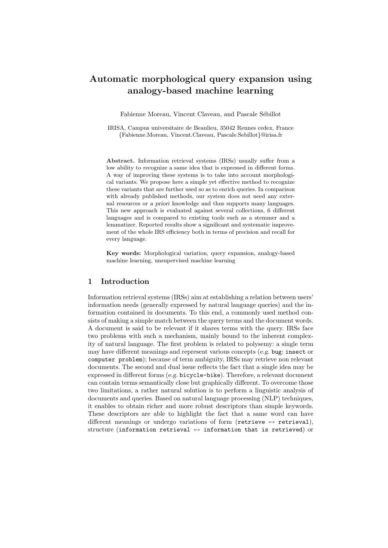# Automatic morphological query expansion using analogy-based machine learning

Fabienne Moreau, Vincent Claveau, and Pascale Sébillot

IRISA, Campus universitaire de Beaulieu, 35042 Rennes cedex, France {Fabienne.Moreau, Vincent.Claveau, Pascale.Sebillot}@irisa.fr

Abstract. Information retrieval systems (IRSs) usually suffer from a low ability to recognize a same idea that is expressed in different forms. A way of improving these systems is to take into account morphological variants. We propose here a simple yet effective method to recognize these variants that are further used so as to enrich queries. In comparison with already published methods, our system does not need any external resources or a priori knowledge and thus supports many languages. This new approach is evaluated against several collections, 6 different languages and is compared to existing tools such as a stemmer and a lemmatizer. Reported results show a significant and systematic improvement of the whole IRS efficiency both in terms of precision and recall for every language.

Key words: Morphological variation, query expansion, analogy-based machine learning, unsupervised machine learning

# 1 Introduction

Information retrieval systems (IRSs) aim at establishing a relation between users' information needs (generally expressed by natural language queries) and the information contained in documents. To this end, a commonly used method consists of making a simple match between the query terms and the document words. A document is said to be relevant if it shares terms with the query. IRSs face two problems with such a mechanism, mainly bound to the inherent complexity of natural language. The first problem is related to polysemy: a single term may have different meanings and represent various concepts (e.g. bug: insect or computer problem); because of term ambiguity, IRSs may retrieve non relevant documents. The second and dual issue reflects the fact that a single idea may be expressed in different forms (e.g. bicycle-bike). Therefore, a relevant document can contain terms semantically close but graphically different. To overcome those two limitations, a rather natural solution is to perform a linguistic analysis of documents and queries. Based on natural language processing (NLP) techniques, it enables to obtain richer and more robust descriptors than simple keywords. These descriptors are able to highlight the fact that a same word can have different meanings or undergo variations of form (retrieve  $\leftrightarrow$  retrieval), structure (information retrieval  $\leftrightarrow$  information that is retrieved) or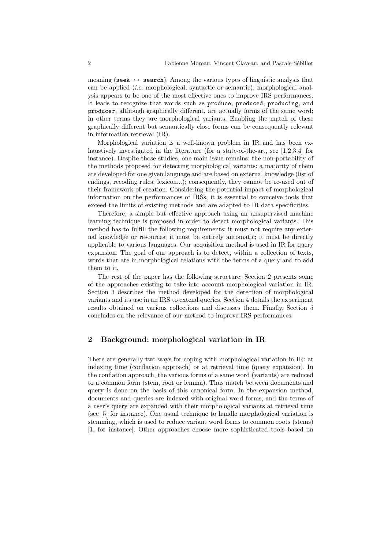meaning (seek  $\leftrightarrow$  search). Among the various types of linguistic analysis that can be applied (i.e. morphological, syntactic or semantic), morphological analysis appears to be one of the most effective ones to improve IRS performances. It leads to recognize that words such as produce, produced, producing, and producer, although graphically different, are actually forms of the same word; in other terms they are morphological variants. Enabling the match of these graphically different but semantically close forms can be consequently relevant in information retrieval (IR).

Morphological variation is a well-known problem in IR and has been exhaustively investigated in the literature (for a state-of-the-art, see [1,2,3,4] for instance). Despite those studies, one main issue remains: the non-portability of the methods proposed for detecting morphological variants: a majority of them are developed for one given language and are based on external knowledge (list of endings, recoding rules, lexicon...); consequently, they cannot be re-used out of their framework of creation. Considering the potential impact of morphological information on the performances of IRSs, it is essential to conceive tools that exceed the limits of existing methods and are adapted to IR data specificities.

Therefore, a simple but effective approach using an unsupervised machine learning technique is proposed in order to detect morphological variants. This method has to fulfill the following requirements: it must not require any external knowledge or resources; it must be entirely automatic; it must be directly applicable to various languages. Our acquisition method is used in IR for query expansion. The goal of our approach is to detect, within a collection of texts, words that are in morphological relations with the terms of a query and to add them to it.

The rest of the paper has the following structure: Section 2 presents some of the approaches existing to take into account morphological variation in IR. Section 3 describes the method developed for the detection of morphological variants and its use in an IRS to extend queries. Section 4 details the experiment results obtained on various collections and discusses them. Finally, Section 5 concludes on the relevance of our method to improve IRS performances.

# 2 Background: morphological variation in IR

There are generally two ways for coping with morphological variation in IR: at indexing time (conflation approach) or at retrieval time (query expansion). In the conflation approach, the various forms of a same word (variants) are reduced to a common form (stem, root or lemma). Thus match between documents and query is done on the basis of this canonical form. In the expansion method, documents and queries are indexed with original word forms; and the terms of a user's query are expanded with their morphological variants at retrieval time (see [5] for instance). One usual technique to handle morphological variation is stemming, which is used to reduce variant word forms to common roots (stems) [1, for instance]. Other approaches choose more sophisticated tools based on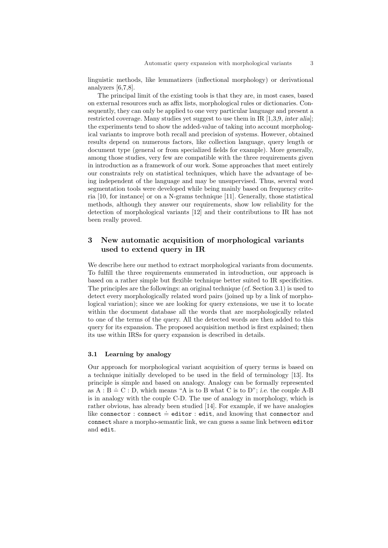linguistic methods, like lemmatizers (inflectional morphology) or derivational analyzers [6,7,8].

The principal limit of the existing tools is that they are, in most cases, based on external resources such as affix lists, morphological rules or dictionaries. Consequently, they can only be applied to one very particular language and present a restricted coverage. Many studies yet suggest to use them in IR [1,3,9, inter alia]; the experiments tend to show the added-value of taking into account morphological variants to improve both recall and precision of systems. However, obtained results depend on numerous factors, like collection language, query length or document type (general or from specialized fields for example). More generally, among those studies, very few are compatible with the three requirements given in introduction as a framework of our work. Some approaches that meet entirely our constraints rely on statistical techniques, which have the advantage of being independent of the language and may be unsupervised. Thus, several word segmentation tools were developed while being mainly based on frequency criteria [10, for instance] or on a N-grams technique [11]. Generally, those statistical methods, although they answer our requirements, show low reliability for the detection of morphological variants [12] and their contributions to IR has not been really proved.

# 3 New automatic acquisition of morphological variants used to extend query in IR

We describe here our method to extract morphological variants from documents. To fulfill the three requirements enumerated in introduction, our approach is based on a rather simple but flexible technique better suited to IR specificities. The principles are the followings: an original technique (cf. Section 3.1) is used to detect every morphologically related word pairs (joined up by a link of morphological variation); since we are looking for query extensions, we use it to locate within the document database all the words that are morphologically related to one of the terms of the query. All the detected words are then added to this query for its expansion. The proposed acquisition method is first explained; then its use within IRSs for query expansion is described in details.

# 3.1 Learning by analogy

Our approach for morphological variant acquisition of query terms is based on a technique initially developed to be used in the field of terminology [13]. Its principle is simple and based on analogy. Analogy can be formally represented as  $A : B = C : D$ , which means "A is to B what C is to D"; *i.e.* the couple A-B is in analogy with the couple C-D. The use of analogy in morphology, which is rather obvious, has already been studied [14]. For example, if we have analogies like connector : connect  $\dot{=}$  editor : edit, and knowing that connector and connect share a morpho-semantic link, we can guess a same link between editor and edit.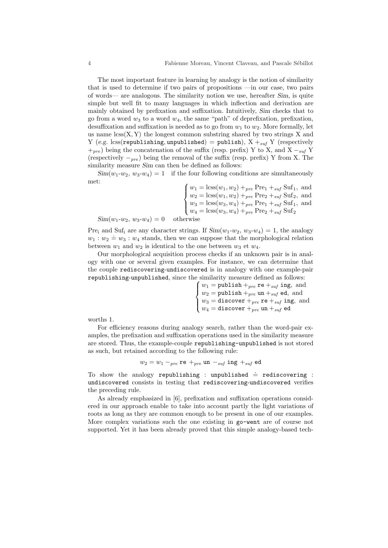The most important feature in learning by analogy is the notion of similarity that is used to determine if two pairs of propositions —in our case, two pairs of words— are analogous. The similarity notion we use, hereafter Sim, is quite simple but well fit to many languages in which inflection and derivation are mainly obtained by prefixation and suffixation. Intuitively, Sim checks that to go from a word  $w_3$  to a word  $w_4$ , the same "path" of deprefixation, prefixation, desuffixation and suffixation is needed as to go from  $w_1$  to  $w_2$ . More formally, let us name  $\text{less}(X, Y)$  the longest common substring shared by two strings X and Y (e.g. lcss(republishing, unpublished) = publish),  $X +_{suf} Y$  (respectively +<sub>pre</sub>) being the concatenation of the suffix (resp. prefix) Y to X, and X  $-$ <sub>suf</sub> Y (respectively  $-\eta_{pre}$ ) being the removal of the suffix (resp. prefix) Y from X. The similarity measure Sim can then be defined as follows:

 $\text{Sim}(w_1-w_2, w_3-w_4) = 1$  if the four following conditions are simultaneously met:  $\overline{a}$ 

 $\left($  $\mathcal{L}$  $w_1 = \text{less}(w_1, w_2) +_{pre} \text{Pre}_1 +_{suf} \text{Suf}_1$ , and  $w_2 = \text{less}(w_1, w_2) +_{pre} \text{Pre}_2 +_{suf} \text{Suf}_2$ , and  $w_3 = \text{less}(w_3, w_4) +_{pre} \text{Pre}_1 +_{suf} \text{Suf}_1$ , and  $w_4 = \text{less}(w_3, w_4) +_{pre} \text{Pre}_2 +_{suf} \text{Suf}_2$ 

 $Sim(w_1-w_2, w_3-w_4) = 0$  otherwise

Pre<sub>i</sub> and Suf<sub>i</sub> are any character strings. If  $Sim(w_1-w_2, w_3-w_4) = 1$ , the analogy  $w_1$ :  $w_2 \doteq w_3$ :  $w_4$  stands, then we can suppose that the morphological relation between  $w_1$  and  $w_2$  is identical to the one between  $w_3$  et  $w_4$ .

Our morphological acquisition process checks if an unknown pair is in analogy with one or several given examples. For instance, we can determine that the couple rediscovering-undiscovered is in analogy with one example-pair republishing-unpublished, since the similarity measure defined as follows:

| $\int w_1 = \text{publish} +_{pre} \text{re} +_{suf} \text{ing}, \text{ and}$ |
|-------------------------------------------------------------------------------|
| $\int w_2 = \text{publish} +_{pre} \text{un} +_{suf} \text{ed}, \text{ and}$  |
| $\int w_3 = \text{discover} +_{pre} \text{re} +_{suf} \text{ing, and}$        |
| $\int w_4 =$ discover $+_{pre}$ un $+_{suf}$ ed                               |

worths 1.

For efficiency reasons during analogy search, rather than the word-pair examples, the prefixation and suffixation operations used in the similarity measure are stored. Thus, the example-couple republishing-unpublished is not stored as such, but retained according to the following rule:

 $w_2 = w_1 - p_{re}$  re  $+_{pre}$  un  $-_{suf}$  ing  $+_{suf}$  ed

To show the analogy republishing : unpublished  $\dot{=}$  rediscovering : undiscovered consists in testing that rediscovering-undiscovered verifies the preceding rule.

As already emphasized in [6], prefixation and suffixation operations considered in our approach enable to take into account partly the light variations of roots as long as they are common enough to be present in one of our examples. More complex variations such the one existing in go-went are of course not supported. Yet it has been already proved that this simple analogy-based tech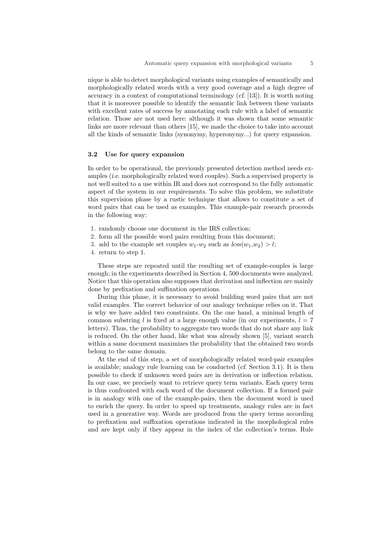nique is able to detect morphological variants using examples of semantically and morphologically related words with a very good coverage and a high degree of accuracy in a context of computational terminology (cf. [13]). It is worth noting that it is moreover possible to identify the semantic link between these variants with excellent rates of success by annotating each rule with a label of semantic relation. Those are not used here: although it was shown that some semantic links are more relevant than others [15], we made the choice to take into account all the kinds of semantic links (synonymy, hyperonymy...) for query expansion.

# 3.2 Use for query expansion

In order to be operational, the previously presented detection method needs examples (i.e. morphologically related word couples). Such a supervised property is not well suited to a use within IR and does not correspond to the fully automatic aspect of the system in our requirements. To solve this problem, we substitute this supervision phase by a rustic technique that allows to constitute a set of word pairs that can be used as examples. This example-pair research proceeds in the following way:

- 1. randomly choose one document in the IRS collection;
- 2. form all the possible word pairs resulting from this document;
- 3. add to the example set couples  $w_1-w_2$  such as  $lcss(w_1,w_2) > l$ ;
- 4. return to step 1.

These steps are repeated until the resulting set of example-couples is large enough; in the experiments described in Section 4, 500 documents were analyzed. Notice that this operation also supposes that derivation and inflection are mainly done by prefixation and suffixation operations.

During this phase, it is necessary to avoid building word pairs that are not valid examples. The correct behavior of our analogy technique relies on it. That is why we have added two constraints. On the one hand, a minimal length of common substring l is fixed at a large enough value (in our experiments,  $l = 7$ letters). Thus, the probability to aggregate two words that do not share any link is reduced. On the other hand, like what was already shown [5], variant search within a same document maximizes the probability that the obtained two words belong to the same domain.

At the end of this step, a set of morphologically related word-pair examples is available; analogy rule learning can be conducted (cf. Section 3.1). It is then possible to check if unknown word pairs are in derivation or inflection relation. In our case, we precisely want to retrieve query term variants. Each query term is thus confronted with each word of the document collection. If a formed pair is in analogy with one of the example-pairs, then the document word is used to enrich the query. In order to speed up treatments, analogy rules are in fact used in a generative way. Words are produced from the query terms according to prefixation and suffixation operations indicated in the morphological rules and are kept only if they appear in the index of the collection's terms. Rule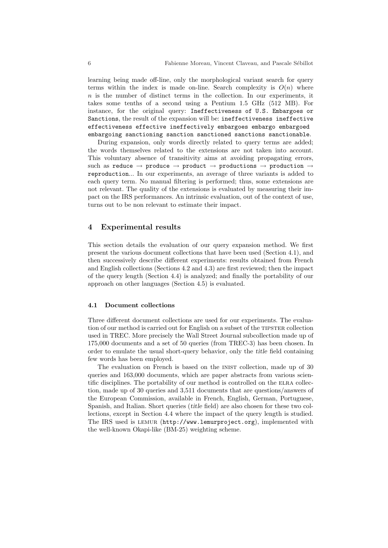learning being made off-line, only the morphological variant search for query terms within the index is made on-line. Search complexity is  $O(n)$  where  $n$  is the number of distinct terms in the collection. In our experiments, it takes some tenths of a second using a Pentium 1.5 GHz (512 MB). For instance, for the original query: Ineffectiveness of U.S. Embargoes or Sanctions, the result of the expansion will be: ineffectiveness ineffective effectiveness effective ineffectively embargoes embargo embargoed embargoing sanctioning sanction sanctioned sanctions sanctionable.

During expansion, only words directly related to query terms are added; the words themselves related to the extensions are not taken into account. This voluntary absence of transitivity aims at avoiding propagating errors, such as reduce  $\rightarrow$  produce  $\rightarrow$  product  $\rightarrow$  productions  $\rightarrow$  production  $\rightarrow$ reproduction... In our experiments, an average of three variants is added to each query term. No manual filtering is performed; thus, some extensions are not relevant. The quality of the extensions is evaluated by measuring their impact on the IRS performances. An intrinsic evaluation, out of the context of use, turns out to be non relevant to estimate their impact.

# 4 Experimental results

This section details the evaluation of our query expansion method. We first present the various document collections that have been used (Section 4.1), and then successively describe different experiments: results obtained from French and English collections (Sections 4.2 and 4.3) are first reviewed; then the impact of the query length (Section 4.4) is analyzed; and finally the portability of our approach on other languages (Section 4.5) is evaluated.

# 4.1 Document collections

Three different document collections are used for our experiments. The evaluation of our method is carried out for English on a subset of the TIPSTER collection used in TREC. More precisely the Wall Street Journal subcollection made up of 175,000 documents and a set of 50 queries (from TREC-3) has been chosen. In order to emulate the usual short-query behavior, only the title field containing few words has been employed.

The evaluation on French is based on the INIST collection, made up of 30 queries and 163,000 documents, which are paper abstracts from various scientific disciplines. The portability of our method is controlled on the ELRA collection, made up of 30 queries and 3,511 documents that are questions/answers of the European Commission, available in French, English, German, Portuguese, Spanish, and Italian. Short queries (title field) are also chosen for these two collections, except in Section 4.4 where the impact of the query length is studied. The IRS used is lemur (http://www.lemurproject.org), implemented with the well-known Okapi-like (BM-25) weighting scheme.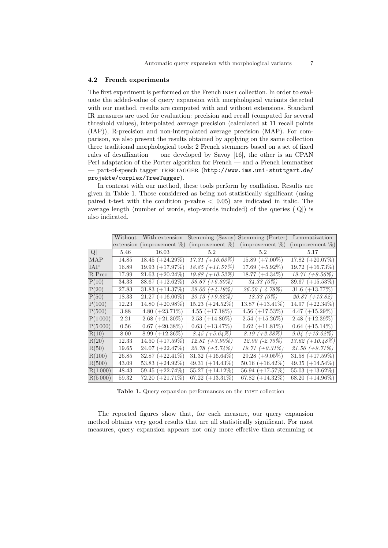#### 4.2 French experiments

The first experiment is performed on the French INIST collection. In order to evaluate the added-value of query expansion with morphological variants detected with our method, results are computed with and without extensions. Standard IR measures are used for evaluation: precision and recall (computed for several threshold values), interpolated average precision (calculated at 11 recall points (IAP)), R-precision and non-interpolated average precision (MAP). For comparison, we also present the results obtained by applying on the same collection three traditional morphological tools: 2 French stemmers based on a set of fixed rules of desuffixation — one developed by Savoy  $[16]$ , the other is an CPAN Perl adaptation of the Porter algorithm for French — and a French lemmatizer — part-of-speech tagger treetagger (http://www.ims.uni-stuttgart.de/ projekte/corplex/TreeTagger).

In contrast with our method, these tools perform by conflation. Results are given in Table 1. Those considered as being not statistically significant (using paired t-test with the condition p-value  $\langle 0.05 \rangle$  are indicated in italic. The average length (number of words, stop-words included) of the queries (|Q|) is also indicated.

|            | Without   | With extension               |                              | Stemming (Savoy) Stemming (Porter) | Lemmatization              |
|------------|-----------|------------------------------|------------------------------|------------------------------------|----------------------------|
|            | extension | $\text{(improvement }\% )$   | $\text{(improvement }\% )$   | $\text{(improvement }\% )$         | $\text{(improvement }\% )$ |
| Q          | 5.46      | 16.03                        | 5.2                          | 5.2                                | 5.17                       |
| <b>MAP</b> | 14.85     | 18.45 $(+24.29\%)$           | $\overline{17.31}$ (+16.63%) | $15.89 (+7.00\%)$                  | $17.82 (+20.07%)$          |
| IAP        | 16.89     | $19.93 (+17.97%)$            | $18.85$ $(+11.57%)$          | $17.69 (+5.92\%)$                  | $19.72 (+16.73%)$          |
| $R-Prec$   | 17.99     | $\overline{21.63}$ (+20.24%) | $19.88 (+10.53%)$            | 18.77 $(+4.34\%)$                  | $19.71 (+9.56%)$           |
| P(10)      | 34.33     | $38.67 (+12.62\%)$           | $36.67 (+6.80\%)$            | $34.33(0\%)$                       | 39.67 $(+15.53%)$          |
| P(20)      | 27.83     | $31.83 (+14.37%)$            | $29.00 (+4.19%)$             | $26.50$ (-4.78%)                   | $31.6 (+13.77%)$           |
| P(50)      | 18.33     | $21.27 (+16.00\%)$           | $20.13~(+9.82\%)$            | 18.33(0%)                          | $20.87 (+13.82)$           |
| P(100)     | 12.23     | 14.80 $(+20.98\%)$           | $15.23 (+24.52%)$            | $13.87 (+13.41\%)$                 | $14.97 (+22.34\%)$         |
| P(500)     | 3.88      | 4.80 $(+23.71\%)$            | $4.55 (+17.18\%)$            | $4.56 (+17.53%)$                   | $4.47 (+15.29\%)$          |
| P(1000)    | 2.21      | $2.68 (+21.30\%)$            | $2.53 (+14.80\%)$            | $2.54 (+15.26\%)$                  | $2.48 (+12.39\%)$          |
| P(5000)    | 0.56      | $0.67 (+20.38\%)$            | $0.63 (+13.47%)$             | $0.62 (+11.81\%)$                  | $0.64 (+15.14\%)$          |
| R(10)      | 8.00      | $8.99 (+12.36\%)$            | $8.45 (+5.64%)$              | $8.19 (+2.38%)$                    | $9.04 (+13.02%)$           |
| R(20)      | 12.33     | $14.50 (+17.59\%)$           | $12.81$ (+3.90%)             | $12.00$ (-2.75%)                   | $13.62 (+10.48\%)$         |
| R(50)      | 19.65     | $24.07 (+22.47%)$            | $20.78 (+5.74\%)$            | $19.71~(+0.31\%)$                  | $21.56 (+9.71%)$           |
| R(100)     | 26.85     | 32.87 $(+22.41\%)$           | $31.32 (+16.64\%)$           | $29.28 (+9.05\%)$                  | $31.58 (+17.59%)$          |
| R(500)     | 43.09     | $53.83 (+24.92\%)$           | $49.31 (+14.43%)$            | $50.16 (+16.42%)$                  | $49.35 (+14.54\%)$         |
| R(1000)    | 48.43     | $59.45 (+22.74%)$            | $55.27 (+14.12\%)$           | $56.94 (+17.57%)$                  | $55.03 (+13.62\%)$         |
| R(5000)    | 59.32     | $72.20 (+21.71\%)$           | $67.22 (+13.31\%)$           | $67.82 (+14.32\%)$                 | $68.20 (+14.96\%)$         |

Table 1. Query expansion performances on the INIST collection

The reported figures show that, for each measure, our query expansion method obtains very good results that are all statistically significant. For most measures, query expansion appears not only more effective than stemming or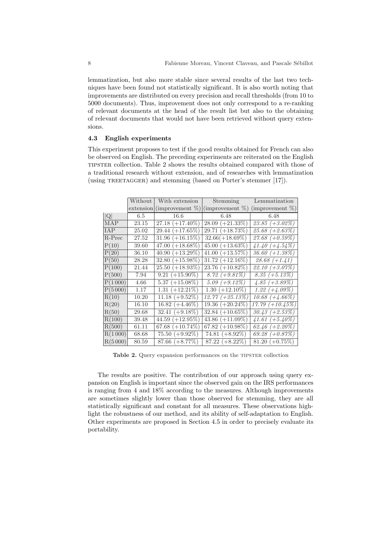lemmatization, but also more stable since several results of the last two techniques have been found not statistically significant. It is also worth noting that improvements are distributed on every precision and recall thresholds (from 10 to 5000 documents). Thus, improvement does not only correspond to a re-ranking of relevant documents at the head of the result list but also to the obtaining of relevant documents that would not have been retrieved without query extensions.

# 4.3 English experiments

This experiment proposes to test if the good results obtained for French can also be observed on English. The preceding experiments are reiterated on the English tipster collection. Table 2 shows the results obtained compared with those of a traditional research without extension, and of researches with lemmatization (using treetagger) and stemming (based on Porter's stemmer [17]).

|            | Without | With extension                | <b>Stemming</b>              | Lemmatization              |
|------------|---------|-------------------------------|------------------------------|----------------------------|
|            |         | $extension (improvement \%) $ | $(\text{improvement }\% )$   | $\text{(improvement }\% )$ |
| Q          | 6.5     | 16.6                          | 6.48                         | 6.48                       |
| MAP        | 23.15   | $27.18 (+17.40\%)$            | $28.09 (+21.33%)$            | $23.85$ $(+3.02\%)$        |
| <b>TAP</b> | 25.02   | 29.44 $(+17.65%)$             | 29.71 $(+18.73%)$            | $25.68$ (+2.63%)           |
| R-Prec     | 27.52   | $31.96 (+16.15%)$             | $32.66(+18.69\%)$            | $27.68 (+0.59%)$           |
| P(10)      | 39.60   | $47.00 (+18.68\%)$            | $\overline{45.00}$ (+13.63%) | 41.40 (+4.54%)             |
| P(20)      | 36.10   | $40.90 (+13.29\%)$            | $41.00 (+13.57%)$            | $36.60 (+1.38\%)$          |
| P(50)      | 28.28   | $32.80 (+15.98\%)$            | $31.72 (+12.16%)$            | $28.68 (+1.41)$            |
| P(100)     | 21.44   | $25.50 (+18.93\%)$            | $23.76 (+10.82\%)$           | $22.10 (+3.07%)$           |
| P(500)     | 7.94    | $9.21 (+15.90\%)$             | $8.72 (+9.81%)$              | $8.35 (+5.13%)$            |
| P(1000)    | 4.66    | $5.37 (+15.08\%)$             | $5.09 (+9.12%)$              | $4.85 (+3.89%)$            |
| P(5000)    | 1.17    | $1.31 (+12.21\%)$             | $1.30 (+12.10\%)$            | $1.22 (+4.09%)$            |
| R(10)      | 10.20   | $11.18 (+9.52%)$              | $12.77 (+25.13%)$            | $10.68 (+4.66%)$           |
| R(20)      | 16.10   | $16.82 (+4.46\%)$             | $19.36 (+20.24\%)$           | $17.79 (+10.45%)$          |
| R(50)      | 29.68   | $32.41 (+9.18\%)$             | $32.84 (+10.65%)$            | $30.43 (+2.53%)$           |
| R(100)     | 39.48   | $44.59 (+12.95%)$             | $43.86 (+11.09\%)$           | $41.61$ $(+5.40\%)$        |
| R(500)     | 61.11   | 67.68 $(+10.74\%)$            | 67.82 $(+10.98\%)$           | $62.46~(+2.20\%)$          |
| R(1000)    | 68.68   | $75.50 (+9.92\%)$             | 74.81 $(+8.92\%)$            | $69.28~(+0.87%)$           |
| R(5000)    | 80.59   | $87.66 (+8.77%)$              | $87.22 (+8.22\%)$            | $81.20 (+0.75\%)$          |

Table 2. Query expansion performances on the TIPSTER collection

The results are positive. The contribution of our approach using query expansion on English is important since the observed gain on the IRS performances is ranging from 4 and 18% according to the measures. Although improvements are sometimes slightly lower than those observed for stemming, they are all statistically significant and constant for all measures. These observations highlight the robustness of our method, and its ability of self-adaptation to English. Other experiments are proposed in Section 4.5 in order to precisely evaluate its portability.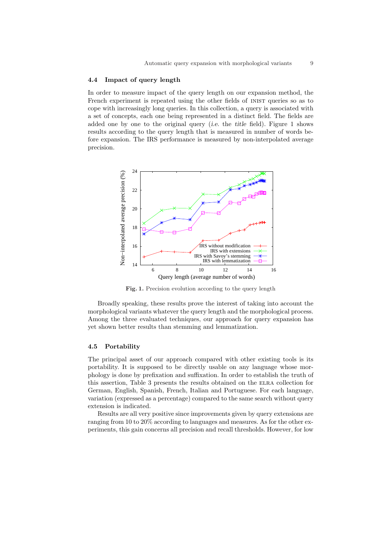# 4.4 Impact of query length

In order to measure impact of the query length on our expansion method, the French experiment is repeated using the other fields of inist queries so as to cope with increasingly long queries. In this collection, a query is associated with a set of concepts, each one being represented in a distinct field. The fields are added one by one to the original query (i.e. the title field). Figure 1 shows results according to the query length that is measured in number of words before expansion. The IRS performance is measured by non-interpolated average precision.



Fig. 1. Precision evolution according to the query length

Broadly speaking, these results prove the interest of taking into account the morphological variants whatever the query length and the morphological process. Among the three evaluated techniques, our approach for query expansion has yet shown better results than stemming and lemmatization.

# 4.5 Portability

The principal asset of our approach compared with other existing tools is its portability. It is supposed to be directly usable on any language whose morphology is done by prefixation and suffixation. In order to establish the truth of this assertion, Table 3 presents the results obtained on the elra collection for German, English, Spanish, French, Italian and Portuguese. For each language, variation (expressed as a percentage) compared to the same search without query extension is indicated.

Results are all very positive since improvements given by query extensions are ranging from 10 to 20% according to languages and measures. As for the other experiments, this gain concerns all precision and recall thresholds. However, for low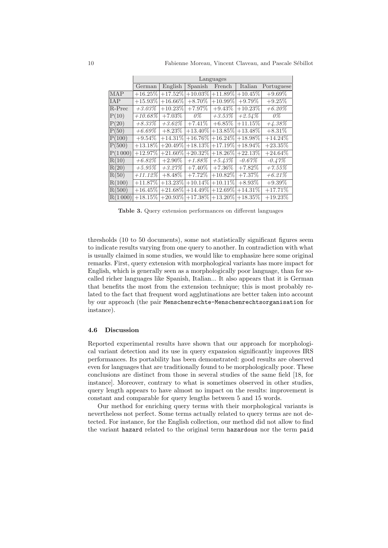|          | Languages  |                                                        |            |            |            |            |
|----------|------------|--------------------------------------------------------|------------|------------|------------|------------|
|          | German     | English                                                | Spanish    | French     | Italian    | Portuguese |
| MAP      | $+16.25\%$ | $+17.52\%$                                             | $+10.03\%$ | $+11.89\%$ | $+10.45\%$ | $+9.69\%$  |
| IAP      | $+15.93\%$ | $+16.66\%$                                             | $+8.70\%$  | $+10.99\%$ | $+9.79%$   | $+9.25\%$  |
| $R-Prec$ | $+3.03%$   | $+10.23\%$                                             | $+7.97\%$  | $+9.43\%$  | $+10.23\%$ | $+6.20\%$  |
| P(10)    | $+10.68\%$ | $+7.03%$                                               | 0%         | $+3.53%$   | $+2.54%$   | $0\%$      |
| P(20)    | $+8.33\%$  | $+3.62\%$                                              | $+7.41\%$  | $+6.85\%$  | $+11.15%$  | $+4.38\%$  |
| P(50)    | $+6.69\%$  | $+8.23\%$                                              | $+13.40\%$ | $+13.85\%$ | $+13.48\%$ | $+8.31\%$  |
| P(100)   | $+9.54\%$  | $+14.31\%$                                             | $+16.76\%$ | $+16.24\%$ | $+18.98\%$ | $+14.24\%$ |
| P(500)   | $+13.18\%$ | $+20.49\%$                                             | $+18.13\%$ | $+17.19\%$ | $+18.94\%$ | $+23.35\%$ |
| P(1000)  | $+12.97\%$ | $+21.60\%$                                             | $+20.32\%$ | $+18.26\%$ | $+22.13\%$ | $+24.64\%$ |
| R(10)    | $+6.82\%$  | $+2.90\%$                                              | $+1.88\%$  | $+5.43\%$  | $-0.67\%$  | $-0.47%$   |
| R(20)    | $+5.95%$   | $+3.27\%$                                              | $+7.40\%$  | $+7.36\%$  | $+7.82%$   | $+7.55%$   |
| R(50)    | $+11.12\%$ | $+8.48\%$                                              | $+7.72%$   | $+10.82\%$ | $+7.37%$   | $+6.21%$   |
| R(100)   | $+11.87%$  | $+13.23\%$                                             | $+10.14\%$ | $+10.11\%$ | $+8.93\%$  | $+9.39\%$  |
| R(500)   | $+16.45\%$ | $+21.68\%$                                             | $+14.49\%$ | $+12.69\%$ | $+14.31\%$ | $+17.71%$  |
| R(1000)  |            | $+18.15\%$ $+20.93\%$ $+17.38\%$ $+13.20\%$ $+18.35\%$ |            |            |            | $+19.23\%$ |

Table 3. Query extension performances on different languages

thresholds (10 to 50 documents), some not statistically significant figures seem to indicate results varying from one query to another. In contradiction with what is usually claimed in some studies, we would like to emphasize here some original remarks. First, query extension with morphological variants has more impact for English, which is generally seen as a morphologically poor language, than for socalled richer languages like Spanish, Italian... It also appears that it is German that benefits the most from the extension technique; this is most probably related to the fact that frequent word agglutinations are better taken into account by our approach (the pair Menschenrechte-Menschenrechtsorganisation for instance).

# 4.6 Discussion

Reported experimental results have shown that our approach for morphological variant detection and its use in query expansion significantly improves IRS performances. Its portability has been demonstrated: good results are observed even for languages that are traditionally found to be morphologically poor. These conclusions are distinct from those in several studies of the same field [18, for instance]. Moreover, contrary to what is sometimes observed in other studies, query length appears to have almost no impact on the results: improvement is constant and comparable for query lengths between 5 and 15 words.

Our method for enriching query terms with their morphological variants is nevertheless not perfect. Some terms actually related to query terms are not detected. For instance, for the English collection, our method did not allow to find the variant hazard related to the original term hazardous nor the term paid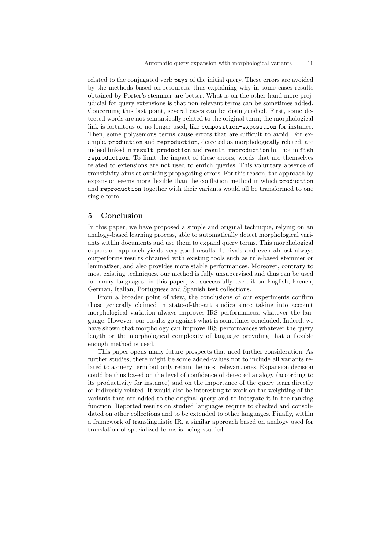related to the conjugated verb pays of the initial query. These errors are avoided by the methods based on resources, thus explaining why in some cases results obtained by Porter's stemmer are better. What is on the other hand more prejudicial for query extensions is that non relevant terms can be sometimes added. Concerning this last point, several cases can be distinguished. First, some detected words are not semantically related to the original term; the morphological link is fortuitous or no longer used, like composition-exposition for instance. Then, some polysemous terms cause errors that are difficult to avoid. For example, production and reproduction, detected as morphologically related, are indeed linked in result production and result reproduction but not in fish reproduction. To limit the impact of these errors, words that are themselves related to extensions are not used to enrich queries. This voluntary absence of transitivity aims at avoiding propagating errors. For this reason, the approach by expansion seems more flexible than the conflation method in which production and reproduction together with their variants would all be transformed to one single form.

# 5 Conclusion

In this paper, we have proposed a simple and original technique, relying on an analogy-based learning process, able to automatically detect morphological variants within documents and use them to expand query terms. This morphological expansion approach yields very good results. It rivals and even almost always outperforms results obtained with existing tools such as rule-based stemmer or lemmatizer, and also provides more stable performances. Moreover, contrary to most existing techniques, our method is fully unsupervised and thus can be used for many languages; in this paper, we successfully used it on English, French, German, Italian, Portuguese and Spanish test collections.

From a broader point of view, the conclusions of our experiments confirm those generally claimed in state-of-the-art studies since taking into account morphological variation always improves IRS performances, whatever the language. However, our results go against what is sometimes concluded. Indeed, we have shown that morphology can improve IRS performances whatever the query length or the morphological complexity of language providing that a flexible enough method is used.

This paper opens many future prospects that need further consideration. As further studies, there might be some added-values not to include all variants related to a query term but only retain the most relevant ones. Expansion decision could be thus based on the level of confidence of detected analogy (according to its productivity for instance) and on the importance of the query term directly or indirectly related. It would also be interesting to work on the weighting of the variants that are added to the original query and to integrate it in the ranking function. Reported results on studied languages require to checked and consolidated on other collections and to be extended to other languages. Finally, within a framework of translinguistic IR, a similar approach based on analogy used for translation of specialized terms is being studied.